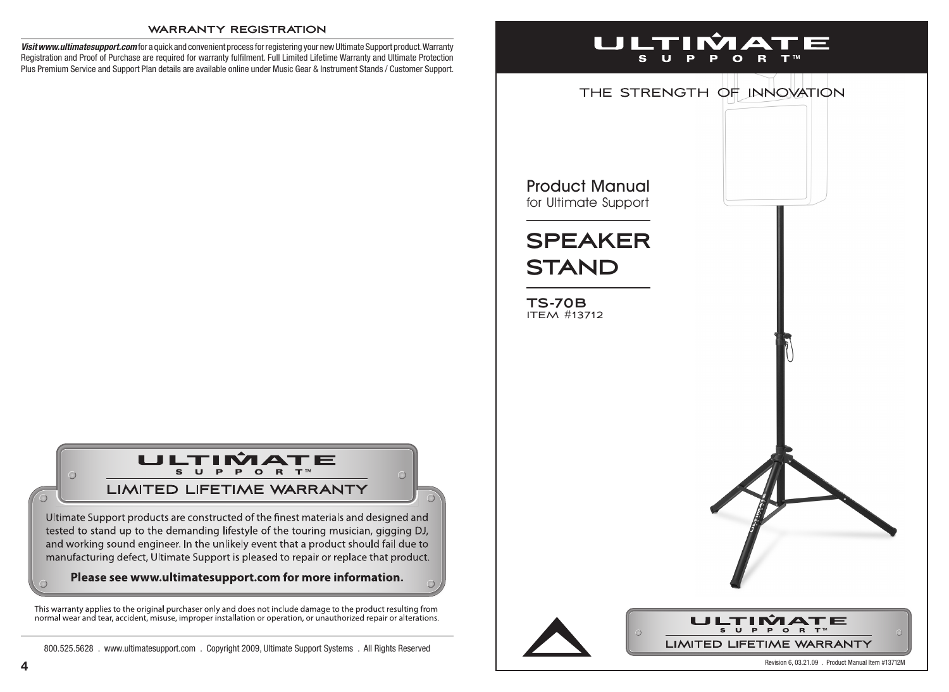#### **warranty registration**

*Visit www.ultimatesupport.com* for a quick and convenient process for registering your new Ultimate Support product. Warranty Registration and Proof of Purchase are required for warranty fulfilment. Full Limited Lifetime Warranty and Ultimate Protection Plus Premium Service and Support Plan details are available online under Music Gear & Instrument Stands / Customer Support.

# ULTIMATE S U P P O R T™

### **LIMITED LIFETIME WARRANTY**

Ultimate Support products are constructed of the finest materials and designed and tested to stand up to the demanding lifestyle of the touring musician, gigging DJ, and working sound engineer. In the unlikely event that a product should fail due to manufacturing defect, Ultimate Support is pleased to repair or replace that product.

#### Please see www.ultimatesupport.com for more information.

This warranty applies to the original purchaser only and does not include damage to the product resulting from<br>normal wear and tear, accident, misuse, improper installation or operation, or unauthorized repair or alteratio